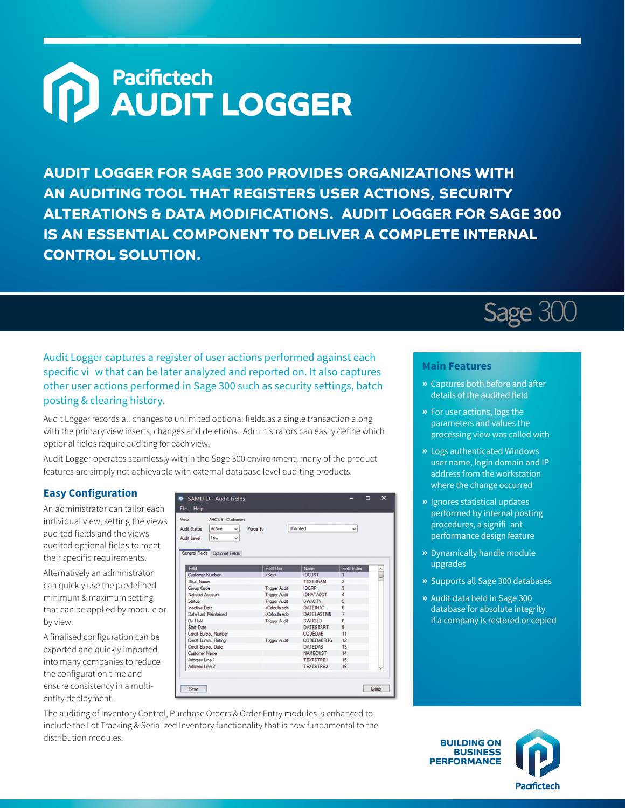# **M**<br> **AUDIT LOGGER**

**AUDIT LOGGER FOR SAGE 300 PROVIDES ORGANIZATIONS WITH AN AUDITING TOOL THAT REGISTERS USER ACTIONS, SECURITY ALTERATIONS & DATA MODIFICATIONS. AUDIT LOGGER FOR SAGE 300 IS AN ESSENTIAL COMPONENT TO DELIVER A COMPLETE INTERNAL CONTROL SOLUTION.**

#### Audit Logger captures a register of user actions performed against each specific vi w that can be later analyzed and reported on. It also captures other user actions performed in Sage 300 such as security settings, batch posting & clearing history.

Audit Logger records all changes to unlimited optional fields as a single transaction along with the primary view inserts, changes and deletions. Administrators can easily define which optional fields require auditing for each view.

Audit Logger operates seamlessly within the Sage 300 environment; many of the product features are simply not achievable with external database level auditing products.

#### **Easy Configuration**

An administrator can tailor each individual view, setting the views audited fields and the views audited optional fields to meet their specific requirements.

Alternatively an administrator can quickly use the predefined minimum & maximum setting that can be applied by module or by view.

A finalised configuration can be exported and quickly imported into many companies to reduce the configuration time and ensure consistency in a multientity deployment.

| View                 | <b>ARCUS - Customers</b>       |                       |                 |                                   |           |  |  |
|----------------------|--------------------------------|-----------------------|-----------------|-----------------------------------|-----------|--|--|
| <b>Audit Status</b>  | Active<br>v                    | Purge By              | Unlimited       | $\checkmark$                      |           |  |  |
| <b>Audit Level</b>   | Low<br>v                       |                       |                 |                                   |           |  |  |
|                      | General Fields Optional Fields |                       |                 |                                   |           |  |  |
|                      |                                |                       |                 |                                   |           |  |  |
| <b>Field</b>         |                                | <b>Field Use</b>      | Name            | <b>Field Index</b>                | $\hat{ }$ |  |  |
| Customer Number      |                                | <key></key>           | <b>IDCUST</b>   | п                                 | $\equiv$  |  |  |
| Short Name           |                                |                       |                 | $\overline{c}$<br><b>TEXTSNAM</b> |           |  |  |
| Group Code           |                                | <b>Trigger Audit</b>  | <b>IDGRP</b>    | 3                                 |           |  |  |
| National Account     |                                | Trigger Audit         |                 | <b>IDNATACCT</b><br>Δ             |           |  |  |
| <b>Status</b>        |                                | <b>Trigger Audit</b>  | <b>SWACTV</b>   | 5                                 |           |  |  |
| <b>Inactive Date</b> |                                | <b>Calculated&gt;</b> | <b>DATEINAC</b> | f.                                |           |  |  |
|                      | Date Last Maintained           | cCalculated>          |                 | <b>DATELASTMN</b><br>7            |           |  |  |
| On Hold              |                                | <b>Trigger Audit</b>  | <b>SWHOLD</b>   | $\mathbf{R}$                      |           |  |  |
| <b>Start Date</b>    |                                |                       |                 | $\mathbf{9}$<br>DATESTART         |           |  |  |
|                      | Credit Bureau Number           |                       | CODEDAB         | 11                                |           |  |  |
|                      | Credit Bureau Rating           | <b>Trigger Audit</b>  |                 | CODEDABRIG<br>12                  |           |  |  |
|                      | Credit Rureau Date             |                       | <b>DATEDAB</b>  | 13                                |           |  |  |
| Customer Name        |                                |                       |                 | NAMECUST<br>14                    |           |  |  |
| Address Line 1       |                                |                       |                 | <b>TEXTSTRE1</b><br>15            |           |  |  |
| Address Line 2       |                                |                       |                 | TEXTSTRE2<br>16                   | $\ddot{}$ |  |  |

The auditing of Inventory Control, Purchase Orders & Order Entry modules is enhanced to include the Lot Tracking & Serialized Inventory functionality that is now fundamental to the distribution modules.

## Sage 300

#### **Main Features**

- **»** Captures both before and after details of the audited field
- **»** For user actions, logs the parameters and values the processing view was called with
- **»** Logs authenticated Windows user name, login domain and IP address from the workstation where the change occurred
- **»** Ignores statistical updates performed by internal posting procedures, a signifi ant performance design feature
- **»** Dynamically handle module upgrades
- **»** Supports all Sage 300 databases
- **»** Audit data held in Sage 300 database for absolute integrity if a company is restored or copied